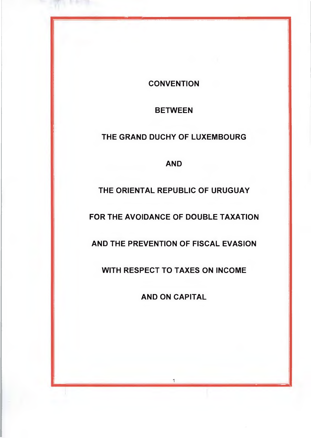# **CONVENTION**

# **BETWEEN**

# **THE GRAND DUCHY OF LUXEMBOURG**

## **AND**

# **THE ORIENTAL REPUBLIC OF URUGUAY**

# **FOR THE AVOIDANCE OF DOUBLE TAXATION**

# **AND THE PREVENTION OF FISCAL EVASION**

# **WITH RESPECT TO TAXES ON INCOME**

**AND ON CAPITAL** 

1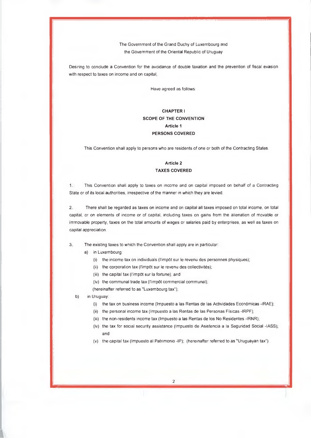The Government of the Grand Duchy of Luxembourg and the Government of the Oriental Republic of Uruguay

Desiring to conclude a Convention for the avoidance of double taxation and the prevention of fiscal evasion with respect to taxes on income and on capital,

Have agreed as follows

## **CHAPTER I SCOPE OF THE CONVENTION Article 1 PERSONS COVERED**

This Convention shall apply to persons who are residents of one or both of the Contracting States.

### **Article 2 TAXES COVERED**

1. This Convention shall apply to taxes on income and on capital imposed on behalf of a Contracting State or of its local authorities, irrespective of the manner in which they are levied.

2. There shall be regarded as taxes on income and on capital all taxes imposed on total income, on total capital, or on elements of income or of capital, including taxes on gains from the alienation of movable or immovable property, taxes on the total amounts of wages or salaries paid by enterprises, as well as taxes on capital appreciation.

3. The existing taxes to which the Convention shall apply are in particular:

- a) in Luxembourg:
	- (i) the income tax on individuals (l'impôt sur le revenu des personnes physiques);
	- (ii) the corporation tax (l'impöt sur le revenu des collectivités);
	- (iii) the capital tax (l'impôt sur la fortune); and
	- (iv) the communal trade tax (l'impôt commercial communal);

(hereinafter referred to as "Luxembourg tax");

b) in Uruguay:

**Air-** 

- (i) the tax on business income (Impuesto a las Rentas de las Actividades Económicas -IRAE);
- (ii) the personal income tax (lmpuesto a las Rentas de las Personas Fisicas -IRPF);
- (iii) the non-residents income tax (Impuesto a las Rentas de los No Residentes -IRNR);
- (iv) the tax for social security assistance (lmpuesto de Asistencia a la Seguridad Social -IASS); and
- (v) the capital tax (Impuesto al Patrimonio -IP); (hereinafter referred to as "Uruguayan tax").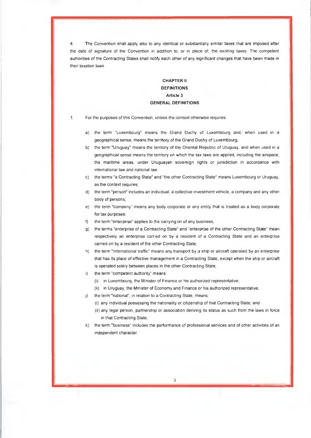4. The Convention shall apply also to any identical or substantially similar taxes that are imposed after the date of signature of the Convention in addition to, or in place of, the existing taxes. The competent authorities of the Contracting States shall notify each other of any significant changes that have been made in their taxation laws.

### **CHAPTER II DEFINITIONS Article 3 GENERAL DEFINITIONS**

1. For the purposes of this Convention, unless the context otherwise requires:

- a) the term "Luxembourg" means the Grand Duchy of Luxembourg and, when used in a geographical sense, means the territory of the Grand Duchy of Luxembourg;
- b) the term "Uruguay" means the territory of the Oriental Republic of Uruguay, and when used in a geographical sense means the territory on which the tax laws are applied, including the airspace, the maritime areas, under Uruguayan sovereign rights or jurisdiction in accordance with international law and national law;
- c) the terms "a Contracting State" and "the other Contracting State" means Luxembourg or Uruguay, as the context requires;
- d) the term "person" includes an individual, a collective investment vehicle, a company and any other body of persons;
- e) the term "company" means any body corporate or any entity that is treated as a body corporate for tax purposes;
- f) the term "enterprise" applies to the carrying on of any business;
- g) the terms "enterprise of a Contracting State" and "enterprise of the other Contracting State'' mean respectively an enterprise carried on by a resident of a Contracting State and an enterprise carried on by a resident of the other Contracting State;
- h) the term "international traffic" means any transport by a ship or aircraft operated by an enterprise that has its place of effective management in a Contracting State, except when the ship or aircraft is operated solely between places in the other Contracting State;
- the term "competent authority" means:  $\mathbf{i}$ 
	- (i) in Luxembourg, the Minister of Finance or his authorized representative;
	- (ii) in Uruguay, the Minister of Economy and Finance or his authorized representative;
- j) the term "national", in relation to a Contracting State, means:
	- (i) any individual possessing the nationality or citizenship of that Contracting State; and
	- (ii) any legal person, partnership or association deriving its status as such from the laws in force in that Contracting State;
- k) the term "business" includes the performance of professional services and of other activities of an independent character.

-en&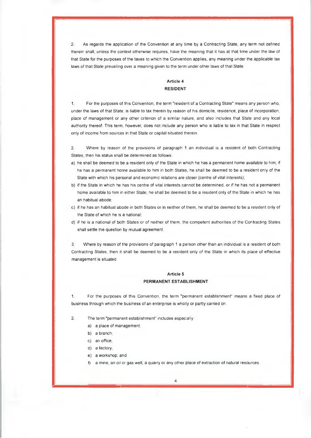2. As regards the application of the Convention at any time by a Contracting State, any term not defined therein shall, unless the context otherwise requires, have the meaning that it has at that time under the law of that State for the purposes of the taxes to which the Convention applies, any meaning under the applicable tax laws of that State prevailing over a meaning given to the term under other laws of that State.

### **Article 4 RESIDENT**

1. For the purposes of this Convention, the term "resident of a Contracting State" means any person who, under the laws of that State, is liable to tax therein by reason of his domicile, residence, place of incorporation, place of management or any other criterion of a similar nature, and also includes that State and any local authority thereof. This term, however, does not include any person who is liable to tax in that State in respect only of income from sources in that State or capital situated therein.

2. Where by reason of the provisions of paragraph 1 an individual is a resident of both Contracting States, then his status shall be determined as follows:

- a) he shall be deemed to be a resident only of the State in which he has a permanent home available to him; if he has a permanent home available to him in both States, he shall be deemed to be a resident only of the State with which his personal and economic relations are closer (centre of vital interests);
- b) if the State in which he has his centre of vital interests cannot be determined, or if he has not a permanent home available to him in either State, he shall be deemed to be a resident only of the State in which he has an habitual abode;
- c) if he has an habitual abode in both States or in neither of them, he shall be deemed to be a resident only of the State of which he is a national;
- d) if he is a national of both States or of neither of them, the competent authorities of the Contracting States shall settle the question by mutual agreement.

3. Where by reason of the provisions of paragraph 1 a person other than an individual is a resident of both Contracting States, then it shall be deemed to be a resident only of the State in which its place of effective management is situated.

#### **Article 5 PERMANENT ESTABLISHMENT**

1. For the purposes of this Convention, the term "permanent establishment" means a fixed place of business through which the business of an enterprise is wholly or partly carried on.

- 2. The term "permanent establishment" includes especially:
	- a) a place of management;
	- b) a branch;
	- c) an office;
	- d) a factory;
	- e) a workshop; and
	- f) a mine, an oil or gas well, a quarry or any other place of extraction of natural resources.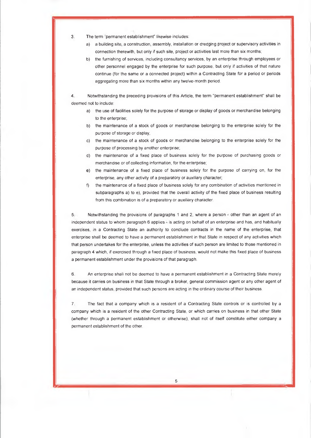3. The term 'permanent establishment" likewise includes:

- a) a building site, a construction, assembly, installation or dredging project or supervisory activities in connection therewith, but only if such site, project or activities last more than six months;
- b) the furnishing of services, including consultancy services, by an enterprise through employees or other personnel engaged by the enterprise for such purpose, but only if activities of that nature continue (for the same or a connected project) within a Contracting State for a period or periods aggregating more than six months within any twelve-month period.

4. Notwithstanding the preceding provisions of this Article, the term "permanent establishment' shall be deemed not to include:

- a) the use of facilities solely for the purpose of storage or display of goods or merchandise belonging to the enterprise;
- b) the maintenance of a stock of goods or merchandise belonging to the enterprise solely for the purpose of storage or display;
- c) the maintenance of a stock of goods or merchandise belonging to the enterprise solely for the purpose of processing by another enterprise;
- d) the maintenance of a fixed place of business solely for the purpose of purchasing goods or merchandise or of collecting information, for the enterprise;
- e) the maintenance of a fixed place of business solely for the purpose of carrying on, for the enterprise, any other activity of a preparatory or auxiliary character;
- f) the maintenance of a fixed place of business solely for any combination of activities mentioned in subparagraphs a) to e), provided that the overall activity of the fixed place of business resulting from this combination is of a preparatory or auxiliary character.

5. Notwithstanding the provisions of paragraphs 1 and 2, where a person - other than an agent of an independent status to whom paragraph 6 applies - is acting on behalf of an enterprise and has, and habitually exercises, in a Contracting State an authority to conclude contracts in the name of the enterprise, that enterprise shall be deemed to have a permanent establishment in that State in respect of any activities which that person undertakes for the enterprise, unless the activities of such person are limited to those mentioned in paragraph 4 which, if exercised through a fixed place of business, would not make this fixed place of business a permanent establishment under the provisions of that paragraph.

6. An enterprise shall not be deemed to have a permanent establishment in a Contracting State merely because it carries on business in that State through a broker, general commission agent or any other agent of an independent status, provided that such persons are acting in the ordinary course of their business.

7. The fact that a company which is a resident of a Contracting State controls or is controlled by a company which is a resident of the other Contracting State, or which carries on business in that other State (whether through a permanent establishment or otherwise), shall not of itself constitute either company a permanent establishment of the other.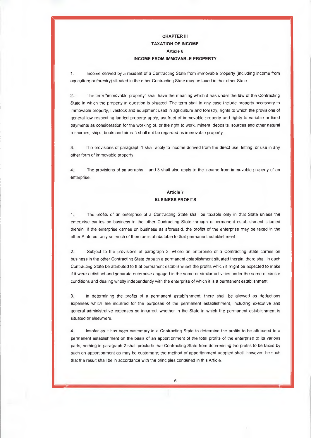### **CHAPTER III TAXATION OF INCOME Article 6 INCOME FROM IMMOVABLE PROPERTY**

1. Income derived by a resident of a Contracting State from immovable property (including income from agriculture or forestry) situated in the other Contracting State may be taxed in that other State.

2. The term "immovable property" shall have the meaning which it has under the law of the Contracting State in which the property in question is situated. The term shall in any case include property accessory to immovable property, livestock and equipment used in agriculture and forestry, rights to which the provisions of general law respecting landed property apply, usufruct of immovable property and rights to variable or fixed payments as consideration for the working of, or the right to work, mineral deposits, sources and other natural resources; ships, boats and aircraft shall not be regarded as immovable property.

3. The provisions of paragraph 1 shall apply to income derived from the direct use, letting, or use in any other form of immovable property.

4. The provisions of paragraphs 1 and 3 shall also apply to the income from immovable property of an enterprise.

### **Article 7 BUSINESS PROFITS**

1. The profits of an enterprise of a Contracting State shall be taxable only in that State unless the enterprise carries on business in the other Contracting State through a permanent establishment situated therein. If the enterprise carries on business as aforesaid, the profits of the enterprise may be taxed in the other State but only so much of them as is attributable to that permanent establishment.

2. Subject to the provisions of paragraph 3, where an enterprise of a Contracting State carries on business in the other Contracting State through a permanent establishment situated therein, there shall in each Contracting State be attributed to that permanent establishment the profits which it might be expected to make if it were a distinct and separate enterprise engaged in the same or similar activities under the same or similar conditions and dealing wholly independently with the enterprise of which it is a permanent establishment.

3. In determining the profits of a permanent establishment, there shall be allowed as deductions expenses which are incurred for the purposes of the permanent establishment, including executive and general administrative expenses so incurred, whether in the State in which the permanent establishment is situated or elsewhere.

4. Insofar as it has been customary in a Contracting State to determine the profits to be attributed to a permanent establishment on the basis of an apportionment of the total profits of the enterprise to its various parts, nothing in paragraph 2 shall preclude that Contracting State from determining the profits to be taxed by such an apportionment as may be customary; the method of apportionment adopted shall, however, be such that the result shall be in accordance with the principles contained in this Article.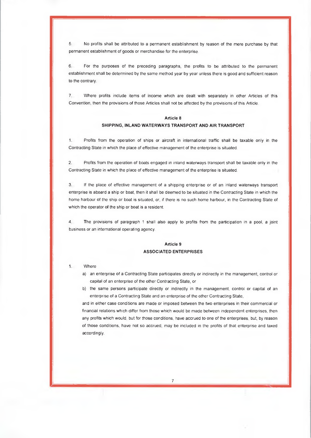5. No profits shall be attributed to a permanent establishment by reason of the mere purchase by that permanent establishment of goods or merchandise for the enterprise.

6. For the purposes of the preceding paragraphs, the profits to be attributed to the permanent establishment shall be determined by the same method year by year unless there is good and sufficient reason to the contrary.

7. Where profits include items of income which are dealt with separately in other Articles of this Convention, then the provisions of those Articles shall not be affected by the provisions of this Article.

#### **Article 8**

#### **SHIPPING, INLAND WATERWAYS TRANSPORT AND AIR TRANSPORT**

1. Profits from the operation of ships or aircraft in international traffic shall be taxable only in the Contracting State in which the place of effective management of the enterprise is situated.

2. Profits from the operation of boats engaged in inland waterways transport shall be taxable only in the Contracting State in which the place of effective management of the enterprise is situated.

3. If the place of effective management of a shipping enterprise or of an inland waterways transport enterprise is aboard a ship or boat, then it shall be deemed to be situated in the Contracting State in which the home harbour of the ship or boat is situated, or, if there is no such home harbour, in the Contracting State of which the operator of the ship or boat is a resident.

4. The provisions of paragraph 1 shall also apply to profits from the participation in a pool, a joint business or an international operating agency.

#### **Article 9 ASSOCIATED ENTERPRISES**

#### 1. Where

- a) an enterprise of a Contracting State participates directly or indirectly in the management, control or capital of an enterprise of the other Contracting State, or
- b) the same persons participate directly or indirectly in the management, control or capital of an enterprise of a Contracting State and an enterprise of the other Contracting State,

and in either case conditions are made or imposed between the two enterprises in their commercial or financial relations which differ from those which would be made between independent enterprises, then any profits which would, but for those conditions, have accrued to one of the enterprises, but, by reason of those conditions, have not so accrued, may be included in the profits of that enterprise and taxed accordingly.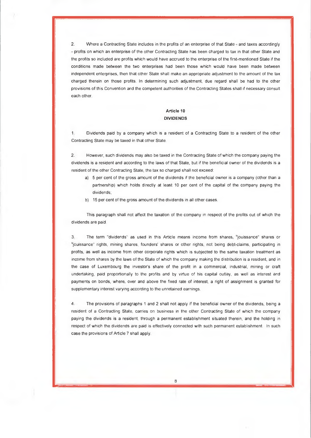2. Where a Contracting State includes in the profits of an enterprise of that State - and taxes accordingly - profits on which an enterprise of the other Contracting State has been charged to tax in that other State and the profits so included are profits which would have accrued to the enterprise of the first-mentioned State if the conditions made between the two enterprises had been those which would have been made between independent enterprises, then that other State shall make an appropriate adjustment to the amount of the tax charged therein on those profits. In determining such adjustment, due regard shall be had to the other provisions of this Convention and the competent authorities of the Contracting States shall if necessary consult each other.

### **Article 10 DIVIDENDS**

1. Dividends paid by a company which is a resident of a Contracting State to a resident of the other Contracting State may be taxed in that other State.

2. However, such dividends may also be taxed in the Contracting State of which the company paying the dividends is a resident and according to the laws of that State, but if the beneficial owner of the dividends is a resident of the other Contracting State, the tax so charged shall not exceed:

- a) 5 per cent of the gross amount of the dividends if the beneficial owner is a company (other than a partnership) which holds directly at least 10 per cent of the capital of the company paying the dividends;
- b) 15 per cent of the gross amount of the dividends in all other cases.

This paragraph shall not affect the taxation of the company in respect of the profits out of which the dividends are paid.

3. The term "dividends" as used in this Article means income from shares, "jouissance" shares or "jouissance" rights, mining shares, founders' shares or other rights, not being debt-claims, participating in profits, as well as income from other corporate rights which is subjected to the same taxation treatment as income from shares by the laws of the State of which the company making the distribution is a resident, and in the case of Luxembourg the investor's share of the profit in a commercial, industrial, mining or craft undertaking, paid proportionally to the profits and by virtue of his capital outlay, as well as interest and payments on bonds, where, over and above the fixed rate of interest, a right of assignment is granted for supplementary interest varying according to the unretained earnings.

4. The provisions of paragraphs 1 and 2 shall not apply if the beneficial owner of the dividends, being a resident of a Contracting State, carries on business in the other Contracting State of which the company paying the dividends is a resident, through a permanent establishment situated therein, and the holding in respect of which the dividends are paid is effectively connected with such permanent establishment. In such case the provisions of Article 7 shall apply.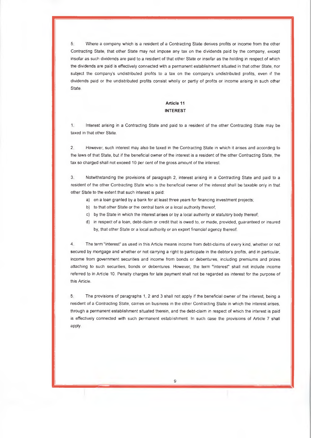5. Where a company which is a resident of a Contracting State derives profits or income from the other Contracting State, that other State may not impose any tax on the dividends paid by the company, except insofar as such dividends are paid to a resident of that other State or insofar as the holding in respect of which the dividends are paid is effectively connected with a permanent establishment situated in that other State, nor subject the companys undistributed profits to a tax on the company's undistributed profits, even if the dividends paid or the undistributed profits consist wholly or partly of profits or income arising in such other **State** 

#### **Article 11 INTEREST**

1. Interest arising in a Contracting State and paid to a resident of the other Contracting State may be taxed in that other State.

2. However, such interest may also be taxed in the Contracting State in which it arises and according to the laws of that State, but if the beneficial owner of the interest is a resident of the other Contracting State, the tax so charged shall not exceed 10 per cent of the gross amount of the interest.

3. Notwithstanding the provisions of paragraph 2, interest arising in a Contracting State and paid to a resident of the other Contracting State who is the beneficial owner of the interest shall be taxable only in that other State to the extent that such interest is paid:

- a) on a loan granted by a bank for at least three years for financing investment projects;
- b) to that other State or the central bank or a local authority thereof;
- c) by the State in which the interest arises or by a local authority or statutory body thereof;
- d) in respect of a loan, debt-claim or credit that is owed to, or made, provided, guaranteed or insured by, that other State or a local authority or an export financial agency thereof.

4. The term "interest" as used in this Article means income from debt-claims of every kind, whether or not secured by mortgage and whether or not carrying a right to participate in the debtor's profits, and in particular, income from government securities and income from bonds or debentures, including premiums and prizes attaching to such securities, bonds or debentures. However, the term "interest" shall not include income referred to in Article 10. Penalty charges for late payment shall not be regarded as interest for the purpose of this Article.

5. The provisions of paragraphs 1, 2 and 3 shall not apply if the beneficial owner of the interest, being a resident of a Contracting State, carries on business in the other Contracting State in which the interest arises, through a permanent establishment situated therein, and the debt-claim in respect of which the interest is paid is effectively connected with such permanent establishment. In such case the provisions of Article 7 shall apply.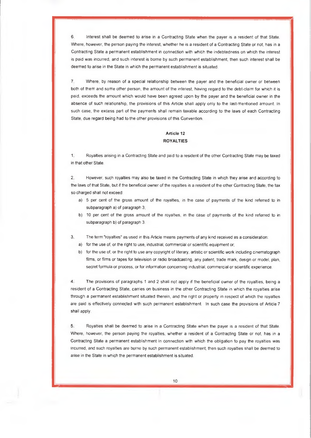6. Interest shall be deemed to arise in a Contracting State when the payer is a resident of that State. Where, however, the person paying the interest, whether he is a resident of a Contracting State or not, has in a Contracting State a permanent establishment in connection with which the indebtedness on which the interest is paid was incurred, and such interest is borne by such permanent establishment, then such interest shall be deemed to arise in the State in which the permanent establishment is situated.

7. Where, by reason of a special relationship between the payer and the beneficial owner or between both of them and some other person, the amount of the interest, having regard to the debt-claim for which it is paid, exceeds the amount which would have been agreed upon by the payer and the beneficial owner in the absence of such relationship, the provisions of this Article shall apply only to the last-mentioned amount. In such case, the excess part of the payments shall remain taxable according to the laws of each Contracting State, due regard being had to the other provisions of this Convention.

### **Article 12 ROYALTIES**

1. Royalties arising in a Contracting State and paid to a resident of the other Contracting State may be taxed in that other State.

2. However, such royalties may also be taxed in the Contracting State in which they arise and according to the laws of that State, but if the beneficial owner of the royalties is a resident of the other Contracting State, the tax so charged shall not exceed:

- a) 5 per cent of the gross amount of the royalties, in the case of payments of the kind referred to in subparagraph a) of paragraph 3;
- b) 10 per cent of the gross amount of the royalties, in the case of payments of the kind referred to in subparagraph b) of paragraph 3.

3. The term "royalties" as used in this Article means payments of any kind received as a consideration:

a) for the use of, or the right to use, industrial, commercial or scientific equipment or;

b) for the use of, or the right to use any copyright of literary, artistic or scientific work including cinematograph films, or films or tapes for television or radio broadcasting, any patent, trade mark, design or model, plan, secret formula or process, or for information concerning industrial, commercial or scientific experience.

**4.** The provisions of paragraphs 1 and 2 shall not apply if the beneficial owner of the royalties, being a resident of a Contracting State, carries on business in the other Contracting State in which the royalties arise through a permanent establishment situated therein, and the right or property in respect of which the royalties are paid is effectively connected with such permanent establishment. In such case the provisions of Article 7 shall apply.

5. Royalties shall be deemed to arise in a Contracting State when the payer is a resident of that State. Where, however, the person paying the royalties, whether a resident of a Contracting State or not, has in a Contracting State a permanent establishment in connection with which the obligation to pay the royalties was incurred, and such royalties are borne by such permanent establishment, then such royalties shall be deemed to arise in the State in which the permanent establishment is situated.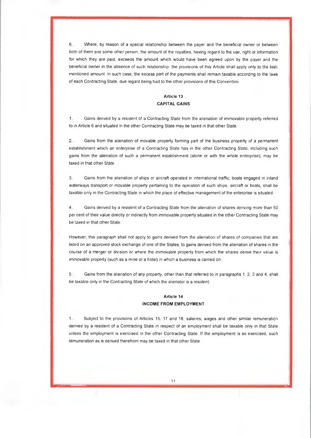6. Where, by reason of a special relationship between the payer and the beneficial owner or between both of them and some other person, the amount of the royalties, having regard to the use, right or information for which they are paid, exceeds the amount which would have been agreed upon by the payer and the beneficial owner in the absence of such relationship, the provisions of this Article shall apply only to the lastmentioned amount. In such case, the excess part of the payments shall remain taxable according to the laws of each Contracting State, due regard being had to the other provisions of this Convention.

#### **Article 13 CAPITAL GAINS**

1. Gains derived by a resident of a Contracting State from the alienation of immovable property referred to in Article 6 and situated in the other Contracting State may be taxed in that other State.

2. Gains from the alienation of movable property forming part of the business property of a permanent establishment which an enterprise of a Contracting State has in the other Contracting State, including such gains from the alienation of such a permanent establishment (alone or with the whole enterprise), may be taxed in that other State.

3. Gains from the alienation of ships or aircraft operated in international traffic, boats engaged in inland waterways transport or movable property pertaining to the operation of such ships, aircraft or boats, shall be taxable only in the Contracting State in which the place of effective management of the enterprise is situated.

4. Gains derived by a resident of a Contracting State from the alienation of shares deriving more than 50 per cent of their value directly or indirectly from immovable property situated in the other Contracting State may be taxed in that other State.

However, this paragraph shall not apply to gains derived from the alienation of shares of companies that are listed on an approved stock exchange of one of the States, to gains derived from the alienation of shares in the course of a merger or division or where the immovable property from which the shares derive their value is immovable property (such as a mine or a hotel) in which a business is carried on.

5. Gains from the alienation of any property, other than that referred to in paragraphs 1, 2, 3 and 4, shall be taxable only in the Contracting State of which the alienator is a resident.

#### **Article 14 INCOME FROM EMPLOYMENT**

1. Subject to the provisions of Articles 15, 17 and 18, salaries, wages and other similar remuneration derived by a resident of a Contracting State in respect of an employment shall be taxable only in that State unless the employment is exercised in the other Contracting State. If the employment is so exercised, such remuneration as is derived therefrom may be taxed in that other State.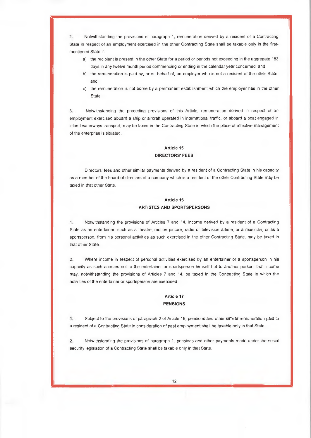2. Notwithstanding the provisions of paragraph 1, remuneration derived by a resident of a Contracting State in respect of an employment exercised in the other Contracting State shall be taxable only in the firstmentioned State if:

- a) the recipient is present in the other State for a period or periods not exceeding in the aggregate 183 days in any twelve month period commencing or ending in the calendar year concerned, and
- b) the remuneration is paid by, or on behalf of, an employer who is not a resident of the other State, and
- c) the remuneration is not borne by a permanent establishment which the employer has in the other **State**

3. Notwithstanding the preceding provisions of this Article, remuneration derived in respect of an employment exercised aboard a ship or aircraft operated in international traffic, or aboard a boat engaged in inland waterways transport, may be taxed in the Contracting State in which the place of effective management of the enterprise is situated.

#### **Article 15 DIRECTORS FEES**

Directors' fees and other similar payments derived by a resident of a Contracting State in his capacity as a member of the board of directors of a company which is a resident of the other Contracting State may be taxed in that other State.

#### **Article 16 ARTISTES AND SPORTSPERSONS**

1. Notwithstanding the provisions of Articles 7 and 14, income derived by a resident of a Contracting State as an entertainer, such as a theatre, motion picture, radio or television artiste, or a musician, or as a sportsperson, from his personal activities as such exercised in the other Contracting State, may be taxed in that other State.

2. Where income in respect of personal activities exercised by an entertainer or a sportsperson in his capacity as such accrues not to the entertainer or sportsperson himself but to another person, that income may, notwithstanding the provisions of Articles 7 and 14, be taxed in the Contracting State in which the activities of the entertainer or sportsperson are exercised

#### **Article 17 PENSIONS**

1 Subject to the provisions of paragraph 2 of Article 18, pensions and other similar remuneration paid to a resident of a Contracting State in consideration of past employment shall be taxable only in that State.

2. Notwithstanding the provisions of paragraph 1, pensions and other payments made under the social security legislation of a Contracting State shall be taxable only in that State.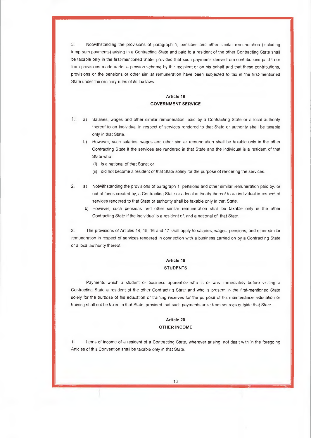3. Notwithstanding the provisions of paragraph 1, pensions and other similar remuneration (including lump-sum payments) arising in a Contracting State and paid to a resident of the other Contracting State shall be taxable only in the first-mentioned State, provided that such payments derive from contributions paid to or from provisions made under a pension scheme by the recipient or on his behalf and that these contributions, provisions or the pensions or other similar remuneration have been subjected to tax in the first-mentioned State under the ordinary rules of its tax laws.

#### **Article 18 GOVERNMENT SERVICE**

- 1. a) Salaries, wages and other similar remuneration, paid by a Contracting State or a local authority thereof to an individual in respect of services rendered to that State or authority shall be taxable only in that State.
	- b) However, such salaries, wages and other similar remuneration shall be taxable only in the other Contracting State if the services are rendered in that State and the individual is a resident of that State who:
		- (i) is a national of that State; or
		- (ii) did not become a resident of that State solely for the purpose of rendering the services.
- 2. a) Notwithstanding the provisions of paragraph 1, pensions and other similar remuneration paid by, or out of funds created by, a Contracting State or a local authority thereof to an individual in respect of services rendered to that State or authority shall be taxable only in that State.
	- b) However, such pensions and other similar remuneration shall be taxable only in the other Contracting State if the individual is a resident of, and a national of, that State.

3. The provisions of Articles 14, 15, 16 and 17 shall apply to salaries, wages, pensions, and other similar remuneration in respect of services rendered in connection with a business carried on by a Contracting State or a local authority thereof.

### **Article 19 STUDENTS**

Payments which a student or business apprentice who is or was immediately before visiting a Contracting State a resident of the other Contracting State and who is present in the first-mentioned State solely for the purpose of his education or training receives for the purpose of his maintenance, education or training shall not be taxed in that State, provided that such payments arise from sources outside that State.

#### **Article 20 OTHER INCOME**

1. Items of income of a resident of a Contracting State, wherever arising, not dealt with in the foregoing Articles of this Convention shall be taxable only in that State.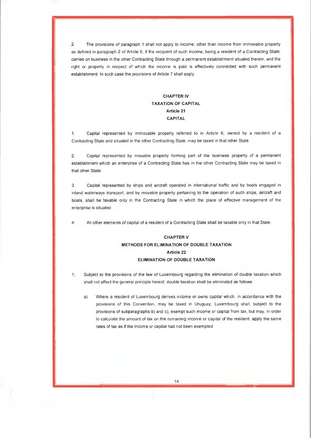2. The provisions of paragraph 1 shall not apply to income, other than income from immovable property as defined in paragraph 2 of Article 6, if the recipient of such income, being a resident of a Contracting State, carries on business in the other Contracting State through a permanent establishment situated therein, and the right or property in respect of which the income is paid is effectively connected with such permanent establishment. In such case the provisions of Article 7 shall apply.

## **CHAPTER IV TAXATION OF CAPITAL Article 21 CAPITAL**

1. Capital represented by immovable property referred to in Article 6, owned by a resident of a Contracting State and situated in the other Contracting State, may be taxed in that other State.

2. Capital represented by movable property forming part of the business property of a permanent establishment which an enterprise of a Contracting State has in the other Contracting State may be taxed in that other State.

3. Capital represented by ships and aircraft operated in international traffic and by boats engaged in inland waterways transport, and by movable property pertaining to the operation of such ships, aircraft and boats, shall be taxable only in the Contracting State in which the place of effective management of the enterprise is situated.

 $\overline{4}$ All other elements of capital of a resident of a Contracting State shall be taxable only in that State.

## **CHAPTER V METHODS FOR ELIMINATION OF DOUBLE TAXATION Article 22 ELIMINATION OF DOUBLE TAXATION**

- Subject to the provisions of the law of Luxembourg regarding the elimination of double taxation which  $1<sub>+</sub>$ shall not affect the general principle hereof, double taxation shall be eliminated as follows:
	- a) Where a resident of Luxembourg derives income or owns capital which, in accordance with the provisions of this Convention, may be taxed in Uruguay, Luxembourg shall, subject to the provisions of subparagraphs b) and c), exempt such income or capital from tax, but may, in order to calculate the amount of tax on the remaining income or capital of the resident, apply the same rates of tax as if the income or capital had not been exempted.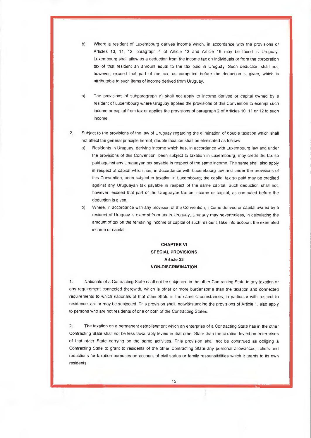- b) Where a resident of Luxembourg derives income which, in accordance with the provisions of Articles 10, 11, 12, paragraph 4 of Article 13 and Article 16 may be taxed in Uruguay, Luxembourg shall allow as a deduction from the income tax on individuals or from the corporation tax of that resident an amount equal to the tax paid in Uruguay. Such deduction shall not, however, exceed that part of the tax, as computed before the deduction is given, which is attributable to such items of income derived from Uruguay.
- c) The provisions of subparagraph a) shall not apply to income derived or capital owned by a resident of Luxembourg where Uruguay applies the provisions of this Convention to exempt such income or capital from tax or applies the provisions of paragraph 2 of Articles 10, 11 or 12 to such income.
- 2. Subject to the provisions of the law of Uruguay regarding the elimination of double taxation which shall not affect the general principle hereof, double taxation shall be eliminated as follows:
	- a) Residents in Uruguay, deriving income which has, in accordance with Luxembourg law and under the provisions of this Convention, been subject to taxation in Luxembourg, may credit the tax so paid against any Uruguayan tax payable in respect of the same income. The same shall also apply in respect of capital which has, in accordance with Luxembourg law and under the provisions of this Convention, been subject to taxation in Luxembourg; the capital tax so paid may be credited against any Uruguayan tax payable in respect of the same capital. Such deduction shall not, however, exceed that part of the Uruguayan tax on income or capital, as computed before the deduction is given.
	- b) Where, in accordance with any provision of the Convention, income derived or capital owned by a resident of Uruguay is exempt from tax in Uruguay, Uruguay may nevertheless, in calculating the amount of tax on the remaining income or capital of such resident, take into account the exempted income or capital.

## **CHAPTER VI SPECIAL PROVISIONS Article 23 NON-DISCRIMINATION**

1. Nationals of a Contracting State shall not be subjected in the other Contracting State to any taxation or any requirement connected therewith, which is other or more burdensome than the taxation and connected requirements to which nationals of that other State in the same circumstances, in particular with respect to residence, are or may be subjected. This provision shall, notwithstanding the provisions of Article 1, also apply to persons who are not residents of one or both of the Contracting States.

2. The taxation on a permanent establishment which an enterprise of a Contracting State has in the other Contracting State shall not be less favourably levied in that other State than the taxation levied on enterprises of that other State carrying on the same activities. This provision shall not be construed as obliging a Contracting State to grant to residents of the other Contracting State any personal allowances, reliefs and reductions for taxation purposes on account of civil status or family responsibilities which it grants to its own residents.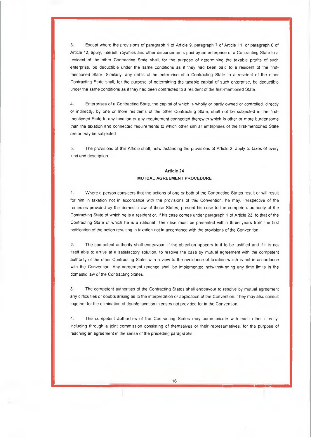3. Except where the provisions of paragraph 1 of Article 9, paragraph 7 of Article 11, or paragraph 6 of Article 12, apply, interest, royalties and other disbursements paid by an enterprise of a Contracting State to a resident of the other Contracting State shall, for the purpose of determining the taxable profits of such enterprise, be deductible under the same conditions as if they had been paid to a resident of the firstmentioned State. Similarly, any debts of an enterprise of a Contracting State to a resident of the other Contracting State shall, for the purpose of determining the taxable capital of such enterprise, be deductible under the same conditions as if they had been contracted to a resident of the first-mentioned State.

4. Enterprises of a Contracting State, the capital of which is wholly or partly owned or controlled, directly or indirectly, by one or more residents of the other Contracting State, shall not be subjected in the firstmentioned State to any taxation or any requirement connected therewith which is other or more burdensome than the taxation and connected requirements to which other similar enterprises of the first-mentioned State are or may be subjected.

5. The provisions of this Article shall, notwithstanding the provisions of Article 2, apply to taxes of every kind and description.

#### **Article 24 MUTUAL AGREEMENT PROCEDURE**

1. Where a person considers that the actions of one or both of the Contracting States result or will result for him in taxation not in accordance with the provisions of this Convention, he may, irrespective of the remedies provided by the domestic law of those States, present his case to the competent authority of the Contracting State of which he is a resident or, if his case comes under paragraph 1 of Article 23, to that of the Contracting State of which he is a national. The case must be presented within three years from the first notification of the action resulting in taxation not in accordance with the provisions of the Convention.

2. The competent authority shall endeavour, if the objection appears to it to be justified and if it is not itself able to arrive at a satisfactory solution, to resolve the case by mutual agreement with the competent authority of the other Contracting State, with a view to the avoidance of taxation which is not in accordance with the Convention. Any agreement reached shall be implemented notwithstanding any time limits in the domestic law of the Contracting States.

3. The competent authorities of the Contracting States shall endeavour to resolve by mutual agreement any difficulties or doubts arising as to the interpretation or application of the Convention. They may also consult together for the elimination of double taxation in cases not provided for in the Convention.

4. The competent authorities of the Contracting States may communicate with each other directly, including through a joint commission consisting of themselves or their representatives, for the purpose of reaching an agreement in the sense of the preceding paragraphs.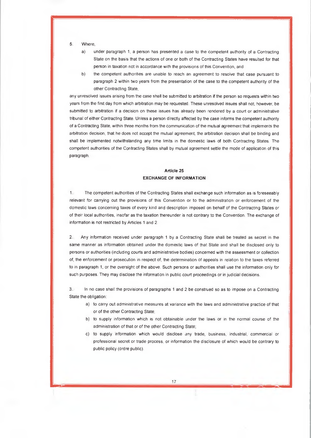- 5. Where,
	- a) under paragraph 1, a person has presented a case to the competent authority of a Contracting State on the basis that the actions of one or both of the Contracting States have resulted for that person in taxation not in accordance with the provisions of this Convention, and
	- b) the competent authorities are unable to reach an agreement to resolve that case pursuant to paragraph 2 within two years from the presentation of the case to the competent authority of the other Contracting State,

any unresolved issues arising from the case shall be submitted to arbitration if the person so requests within two years from the first day from which arbitration may be requested. These unresolved issues shall not, however, be submitted to arbitration if a decision on these issues has already been rendered by a court or administrative tribunal of either Contracting State. Unless a person directly affected by the case informs the competent authority of a Contracting State, within three months from the communication of the mutual agreement that implements the arbitration decision, that he does not accept the mutual agreement, the arbitration decision shall be binding and shall be implemented notwithstanding any time limits in the domestic laws of both Contracting States. The competent authorities of the Contracting States shall by mutual agreement settle the mode of application of this paragraph.

#### **Article 25 EXCHANGE OF INFORMATION**

1. The competent authorities of the Contracting States shall exchange such information as is foreseeably relevant for carrying out the provisions of this Convention or to the administration or enforcement of the domestic laws concerning taxes of every kind and description imposed on behalf of the Contracting States or of their local authorities, insofar as the taxation thereunder is not contrary to the Convention. The exchange of information is not restricted by Articles 1 and 2.

2. Any information received under paragraph 1 by a Contracting State shall be treated as secret in the same manner as information obtained under the domestic laws of that State and shall be disclosed only to persons or authorities (including courts and administrative bodies) concerned with the assessment or collection of, the enforcement or prosecution in respect of, the determination of appeals in relation to the taxes referred to in paragraph 1, or the oversight of the above. Such persons or authorities shall use the information only for such purposes. They may disclose the information in public court proceedings or in judicial decisions.

3. In no case shall the provisions of paragraphs 1 and 2 be construed so as to impose on a Contracting State the obligation:

- a) to carry out administrative measures at variance with the laws and administrative practice of that or of the other Contracting State;
- b) to supply information which is not obtainable under the laws or in the normal course of the administration of that or of the other Contracting State;
- c) to supply information which would disclose any trade, business, industrial, commercial or professional secret or trade process, or information the disclosure of which would be contrary to public policy (ordre public).

AMIRA 1W-NIMMINF-1W-NIMMININ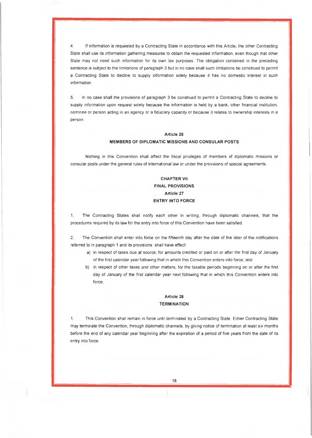4. If information is requested by a Contracting State in accordance with this Article, the other Contracting State shall use its information gathering measures to obtain the requested information, even though that other State may not need such information for its own tax purposes. The obligation contained in the preceding sentence is subject to the limitations of paragraph 3 but in no case shall such limitations be construed to permit a Contracting State to decline to supply information solely because it has no domestic interest in such information

5. In no case shall the provisions of paragraph 3 be construed to permit a Contracting State to decline to supply information upon request solely because the information is held by a bank, other financial institution, nominee or person acting in an agency or a fiduciary capacity or because it relates to ownership interests in a person.

#### **Article 26**

#### **MEMBERS OF DIPLOMATIC MISSIONS AND CONSULAR POSTS**

Nothing in this Convention shall affect the fiscal privileges of members of diplomatic missions or consular posts under the general rules of international law or under the provisions of special agreements.

## **CHAPTER VII FINAL PROVISIONS Article 27 ENTRY INTO FORCE**

1. The Contracting States shall notify each other in writing, through diplomatic channels, that the procedures required by its law for the entry into force of this Convention have been satisfied.

2. The Convention shall enter into force on the fifteenth day after the date of the later of the notifications referred to in paragraph 1 and its provisions shall have effect:

- a) in respect of taxes due at source, for amounts credited or paid on or after the first day of January of the first calendar year following that in which this Convention enters into force; and
- b) in respect of other taxes and other matters, for the taxable periods beginning on or after the first day of January of the first calendar year next following that in which this Convention enters into force.

#### **Article 28 TERMINATION**

1. This Convention shall remain in force until terminated by a Contracting State. Either Contracting State may terminate the Convention, through diplomatic channels, by giving notice of termination at least six months before the end of any calendar year beginning after the expiration of a period of five years from the date of its entry into force.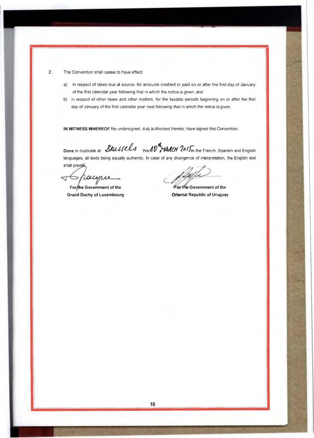2. The Convention shall cease to have effect:

- a) in respect of taxes due at source, for amounts credited or paid on or after the first day of January of the first calendar year following that in which the notice is given; and
- b) in respect of other taxes and other matters, for the taxable periods beginning on or after the first day of January of the first calendar year next following that in which the notice is given.

**IN WITNESS WHEREOF** the undersigned, duly authorized thereto, have signed this Convention.

Done in duplicate at *BAUSSELS* this 10<sup>%</sup> *HAACH* 2015<sub>in</sub> the French, Spanish and English

languages, all texts being equally authentic. In case of any divergence of interpretation, the English text shall prevail.

racyp

For the Government of the **For the Government of the** Grand Duchy of Luxembourg **Communist Communist Communist Communist Communist Communist Communist Communist Communist Communist Communist Communist Communist Communist Communist Communist Communist Communist Communist Commu**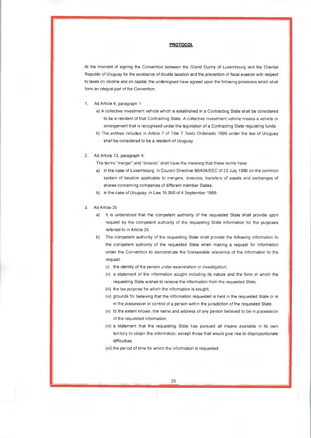#### **PROTOCOL**

At the moment of signing the Convention between the Grand Duchy of Luxembourg and the Oriental Republic of Uruguay for the avoidance of double taxation and the prevention of fiscal evasion with respect to taxes on income and on capital, the undersigned have agreed upon the following provisions which shall form an integral part of the Convention.

- 1. Ad Article 4, paragraph 1:
	- a) A collective investment vehicle which is established in a Contracting State shall be considered to be a resident of that Contracting State. A collective investment vehicle means a vehicle or arrangement that is recognised under the legislation of a Contracting State regulating funds.
	- b) The entities included in Article 7 of Title 7 Texto Ordenado 1996 under the law of Uruguay shall be considered to be a resident of Uruguay.
- Ad Article 13, paragraph 4:
	- The terms "merger" and "division" shall have the meaning that these terms have:
	- a) in the case of Luxembourg, in Council Directive 90/434/EEC of 23 July 1990 on the common system of taxation applicable to mergers, divisions, transfers of assets and exchanges of shares concerning companies of different member States;
	- b) in the case of Uruguay, in Law 16.060 of 4 September 1989.
- 3 Ad Article 25
	- a) It is understood that the competent authority of the requested State shall provide upon request by the competent authority of the requesting State information for the purposes referred to in Article 25.
	- b) The competent authority of the requesting State shall provide the following information to the competent authority of the requested State when making a request for information under the Convention to demonstrate the foreseeable relevance of the information to the request:
		- (i) the identity of the person under examination or investigation;
		- (ii) a statement of the information sought including its nature and the form in which the requesting State wishes to receive the information from the requested State;
		- (iii) the tax purpose for which the information is sought;
		- (iv) grounds for believing that the information requested is held in the requested State or is in the possession or control of a person within the jurisdiction of the requested State;
		- (v) to the extent known, the name and address of any person believed to be in possession of the requested information;
		- (vi) a statement that the requesting State has pursued all means available in its own territory to obtain the information, except those that would give rise to disproportionate difficulties;
		- (vii) the period of time for which the information is requested.